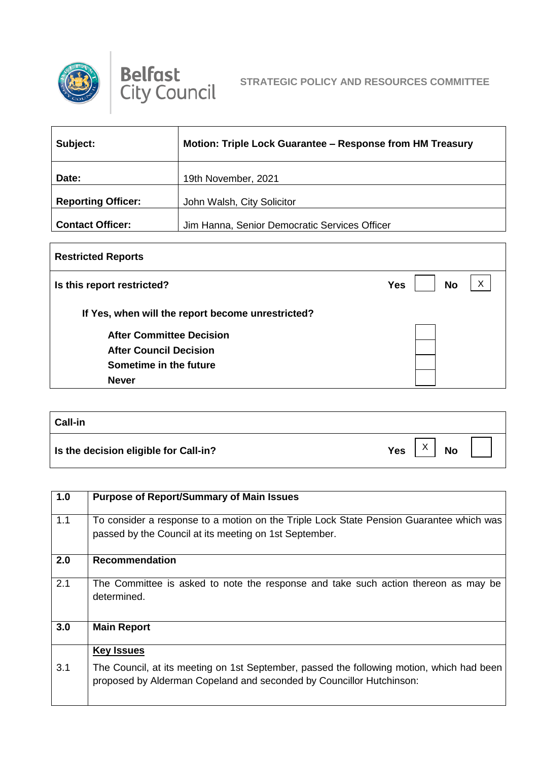



| Subject:                  | Motion: Triple Lock Guarantee – Response from HM Treasury |
|---------------------------|-----------------------------------------------------------|
| Date:                     | 19th November, 2021                                       |
| <b>Reporting Officer:</b> | John Walsh, City Solicitor                                |
| <b>Contact Officer:</b>   | Jim Hanna, Senior Democratic Services Officer             |

| <b>Restricted Reports</b>                         |                              |
|---------------------------------------------------|------------------------------|
| Is this report restricted?                        | X<br><b>No</b><br><b>Yes</b> |
| If Yes, when will the report become unrestricted? |                              |
| <b>After Committee Decision</b>                   |                              |
| <b>After Council Decision</b>                     |                              |
| Sometime in the future                            |                              |
| <b>Never</b>                                      |                              |

| <b>Call-in</b>                        |                              |
|---------------------------------------|------------------------------|
| Is the decision eligible for Call-in? | <b>Yes</b><br><b>No</b><br>⌒ |

| 1.0 | <b>Purpose of Report/Summary of Main Issues</b>                                                                                                                   |
|-----|-------------------------------------------------------------------------------------------------------------------------------------------------------------------|
| 1.1 | To consider a response to a motion on the Triple Lock State Pension Guarantee which was<br>passed by the Council at its meeting on 1st September.                 |
| 2.0 | <b>Recommendation</b>                                                                                                                                             |
| 2.1 | The Committee is asked to note the response and take such action thereon as may be<br>determined.                                                                 |
| 3.0 | <b>Main Report</b>                                                                                                                                                |
|     | <b>Key Issues</b>                                                                                                                                                 |
| 3.1 | The Council, at its meeting on 1st September, passed the following motion, which had been<br>proposed by Alderman Copeland and seconded by Councillor Hutchinson: |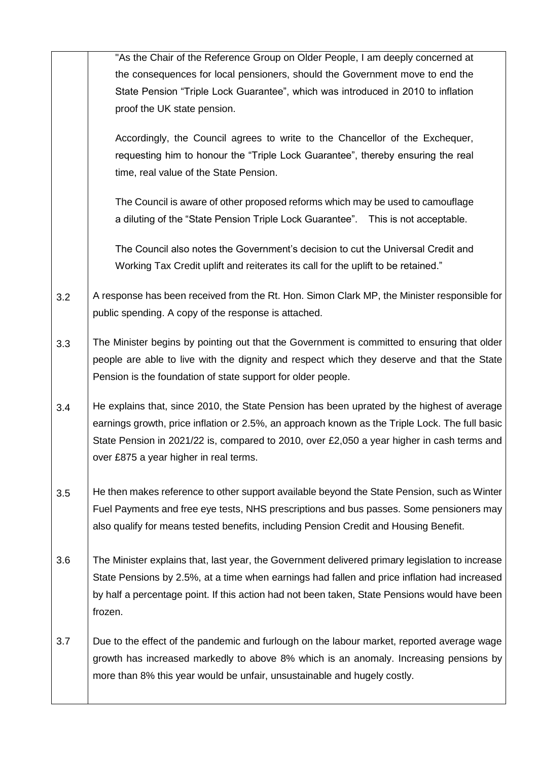|     | "As the Chair of the Reference Group on Older People, I am deeply concerned at                  |
|-----|-------------------------------------------------------------------------------------------------|
|     | the consequences for local pensioners, should the Government move to end the                    |
|     | State Pension "Triple Lock Guarantee", which was introduced in 2010 to inflation                |
|     | proof the UK state pension.                                                                     |
|     |                                                                                                 |
|     | Accordingly, the Council agrees to write to the Chancellor of the Exchequer,                    |
|     | requesting him to honour the "Triple Lock Guarantee", thereby ensuring the real                 |
|     | time, real value of the State Pension.                                                          |
|     | The Council is aware of other proposed reforms which may be used to camouflage                  |
|     | a diluting of the "State Pension Triple Lock Guarantee".  This is not acceptable.               |
|     |                                                                                                 |
|     | The Council also notes the Government's decision to cut the Universal Credit and                |
|     | Working Tax Credit uplift and reiterates its call for the uplift to be retained."               |
| 3.2 | A response has been received from the Rt. Hon. Simon Clark MP, the Minister responsible for     |
|     | public spending. A copy of the response is attached.                                            |
|     |                                                                                                 |
| 3.3 | The Minister begins by pointing out that the Government is committed to ensuring that older     |
|     | people are able to live with the dignity and respect which they deserve and that the State      |
|     | Pension is the foundation of state support for older people.                                    |
|     | He explains that, since 2010, the State Pension has been uprated by the highest of average      |
| 3.4 | earnings growth, price inflation or 2.5%, an approach known as the Triple Lock. The full basic  |
|     |                                                                                                 |
|     | State Pension in 2021/22 is, compared to 2010, over £2,050 a year higher in cash terms and      |
|     | over £875 a year higher in real terms.                                                          |
| 3.5 | He then makes reference to other support available beyond the State Pension, such as Winter     |
|     | Fuel Payments and free eye tests, NHS prescriptions and bus passes. Some pensioners may         |
|     | also qualify for means tested benefits, including Pension Credit and Housing Benefit.           |
|     |                                                                                                 |
| 3.6 | The Minister explains that, last year, the Government delivered primary legislation to increase |
|     | State Pensions by 2.5%, at a time when earnings had fallen and price inflation had increased    |
|     | by half a percentage point. If this action had not been taken, State Pensions would have been   |
|     | frozen.                                                                                         |
|     |                                                                                                 |
| 3.7 | Due to the effect of the pandemic and furlough on the labour market, reported average wage      |
|     | growth has increased markedly to above 8% which is an anomaly. Increasing pensions by           |
|     | more than 8% this year would be unfair, unsustainable and hugely costly.                        |
|     |                                                                                                 |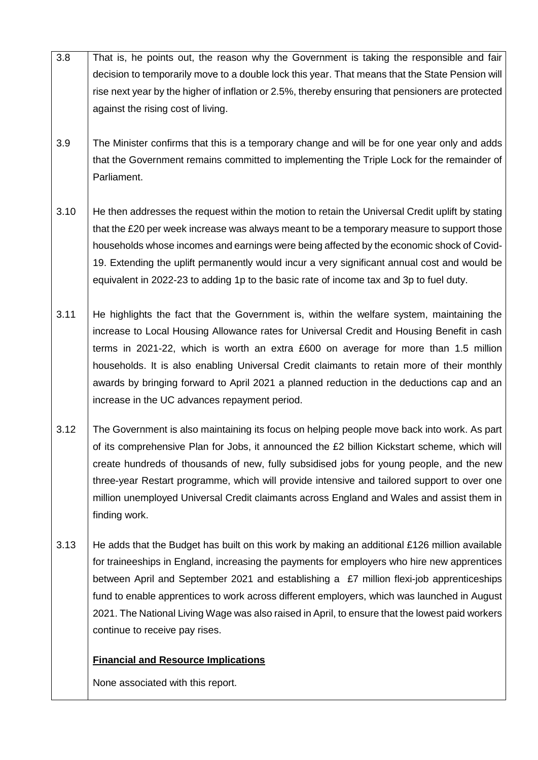- 3.8 That is, he points out, the reason why the Government is taking the responsible and fair decision to temporarily move to a double lock this year. That means that the State Pension will rise next year by the higher of inflation or 2.5%, thereby ensuring that pensioners are protected against the rising cost of living.
- 3.9 The Minister confirms that this is a temporary change and will be for one year only and adds that the Government remains committed to implementing the Triple Lock for the remainder of Parliament.
- 3.10 He then addresses the request within the motion to retain the Universal Credit uplift by stating that the £20 per week increase was always meant to be a temporary measure to support those households whose incomes and earnings were being affected by the economic shock of Covid-19. Extending the uplift permanently would incur a very significant annual cost and would be equivalent in 2022-23 to adding 1p to the basic rate of income tax and 3p to fuel duty.
- 3.11 He highlights the fact that the Government is, within the welfare system, maintaining the increase to Local Housing Allowance rates for Universal Credit and Housing Benefit in cash terms in 2021-22, which is worth an extra £600 on average for more than 1.5 million households. It is also enabling Universal Credit claimants to retain more of their monthly awards by bringing forward to April 2021 a planned reduction in the deductions cap and an increase in the UC advances repayment period.
- 3.12 The Government is also maintaining its focus on helping people move back into work. As part of its comprehensive Plan for Jobs, it announced the £2 billion Kickstart scheme, which will create hundreds of thousands of new, fully subsidised jobs for young people, and the new three-year Restart programme, which will provide intensive and tailored support to over one million unemployed Universal Credit claimants across England and Wales and assist them in finding work.
- 3.13 He adds that the Budget has built on this work by making an additional £126 million available for traineeships in England, increasing the payments for employers who hire new apprentices between April and September 2021 and establishing a £7 million flexi-job apprenticeships fund to enable apprentices to work across different employers, which was launched in August 2021. The National Living Wage was also raised in April, to ensure that the lowest paid workers continue to receive pay rises.

## **Financial and Resource Implications**

None associated with this report.